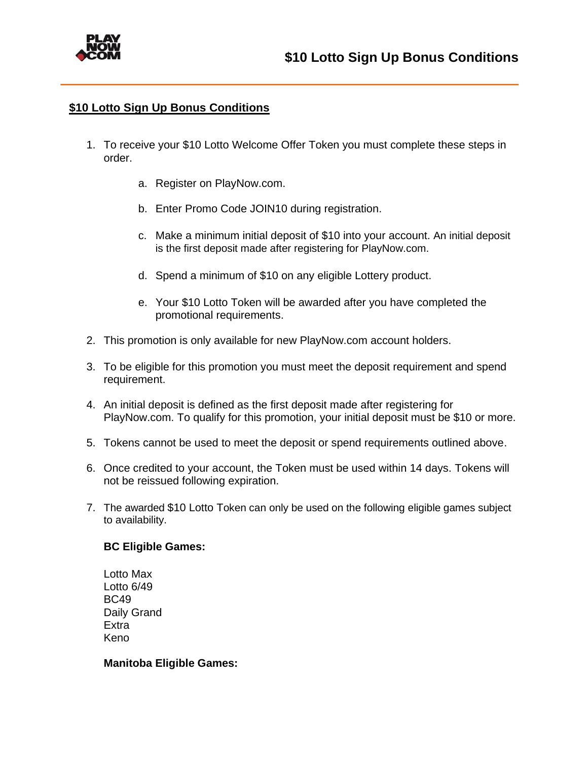

## **\$10 Lotto Sign Up Bonus Conditions**

- 1. To receive your \$10 Lotto Welcome Offer Token you must complete these steps in order.
	- a. Register on PlayNow.com.
	- b. Enter Promo Code JOIN10 during registration.
	- c. Make a minimum initial deposit of \$10 into your account. An initial deposit is the first deposit made after registering for PlayNow.com.
	- d. Spend a minimum of \$10 on any eligible Lottery product.
	- e. Your \$10 Lotto Token will be awarded after you have completed the promotional requirements.
- 2. This promotion is only available for new PlayNow.com account holders.
- 3. To be eligible for this promotion you must meet the deposit requirement and spend requirement.
- 4. An initial deposit is defined as the first deposit made after registering for PlayNow.com. To qualify for this promotion, your initial deposit must be \$10 or more.
- 5. Tokens cannot be used to meet the deposit or spend requirements outlined above.
- 6. Once credited to your account, the Token must be used within 14 days. Tokens will not be reissued following expiration.
- 7. The awarded \$10 Lotto Token can only be used on the following eligible games subject to availability.

## **BC Eligible Games:**

Lotto Max Lotto 6/49 BC49 Daily Grand Extra Keno

## **Manitoba Eligible Games:**